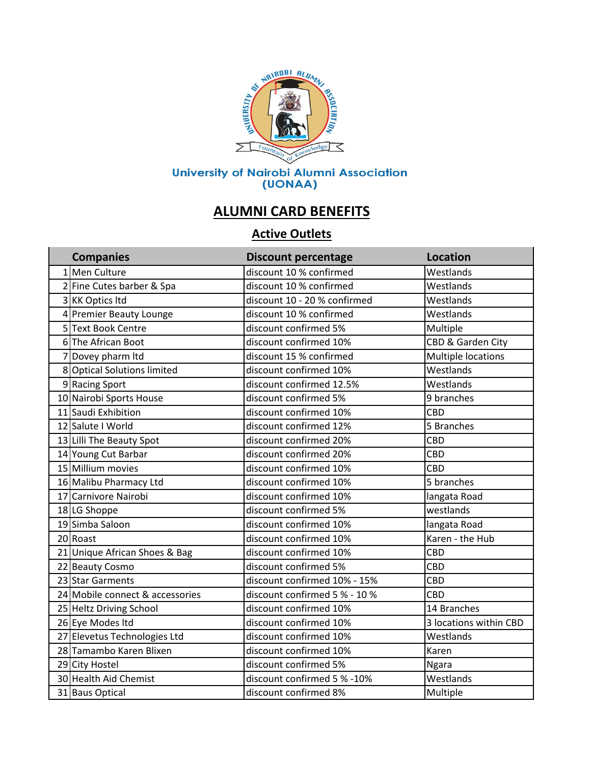

## **ALUMNI CARD BENEFITS**

## **Active Outlets**

| <b>Companies</b>                | <b>Discount percentage</b>    | <b>Location</b>           |
|---------------------------------|-------------------------------|---------------------------|
| 1 Men Culture                   | discount 10 % confirmed       | Westlands                 |
| 2 Fine Cutes barber & Spa       | discount 10 % confirmed       | Westlands                 |
| 3 KK Optics Itd                 | discount 10 - 20 % confirmed  | Westlands                 |
| 4 Premier Beauty Lounge         | discount 10 % confirmed       | Westlands                 |
| 5 Text Book Centre              | discount confirmed 5%         | Multiple                  |
| 6The African Boot               | discount confirmed 10%        | CBD & Garden City         |
| 7 Dovey pharm Itd               | discount 15 % confirmed       | <b>Multiple locations</b> |
| 8 Optical Solutions limited     | discount confirmed 10%        | Westlands                 |
| 9 Racing Sport                  | discount confirmed 12.5%      | Westlands                 |
| 10 Nairobi Sports House         | discount confirmed 5%         | 9 branches                |
| 11 Saudi Exhibition             | discount confirmed 10%        | CBD                       |
| 12 Salute I World               | discount confirmed 12%        | 5 Branches                |
| 13 Lilli The Beauty Spot        | discount confirmed 20%        | CBD                       |
| 14 Young Cut Barbar             | discount confirmed 20%        | CBD                       |
| 15 Millium movies               | discount confirmed 10%        | <b>CBD</b>                |
| 16 Malibu Pharmacy Ltd          | discount confirmed 10%        | 5 branches                |
| 17 Carnivore Nairobi            | discount confirmed 10%        | langata Road              |
| 18 LG Shoppe                    | discount confirmed 5%         | westlands                 |
| 19 Simba Saloon                 | discount confirmed 10%        | langata Road              |
| 20 Roast                        | discount confirmed 10%        | Karen - the Hub           |
| 21 Unique African Shoes & Bag   | discount confirmed 10%        | CBD                       |
| 22 Beauty Cosmo                 | discount confirmed 5%         | CBD                       |
| 23 Star Garments                | discount confirmed 10% - 15%  | CBD                       |
| 24 Mobile connect & accessories | discount confirmed 5 % - 10 % | <b>CBD</b>                |
| 25 Heltz Driving School         | discount confirmed 10%        | 14 Branches               |
| 26 Eye Modes Itd                | discount confirmed 10%        | 3 locations within CBD    |
| 27 Elevetus Technologies Ltd    | discount confirmed 10%        | Westlands                 |
| 28 Tamambo Karen Blixen         | discount confirmed 10%        | Karen                     |
| 29 City Hostel                  | discount confirmed 5%         | <b>Ngara</b>              |
| 30 Health Aid Chemist           | discount confirmed 5 % -10%   | Westlands                 |
| 31 Baus Optical                 | discount confirmed 8%         | Multiple                  |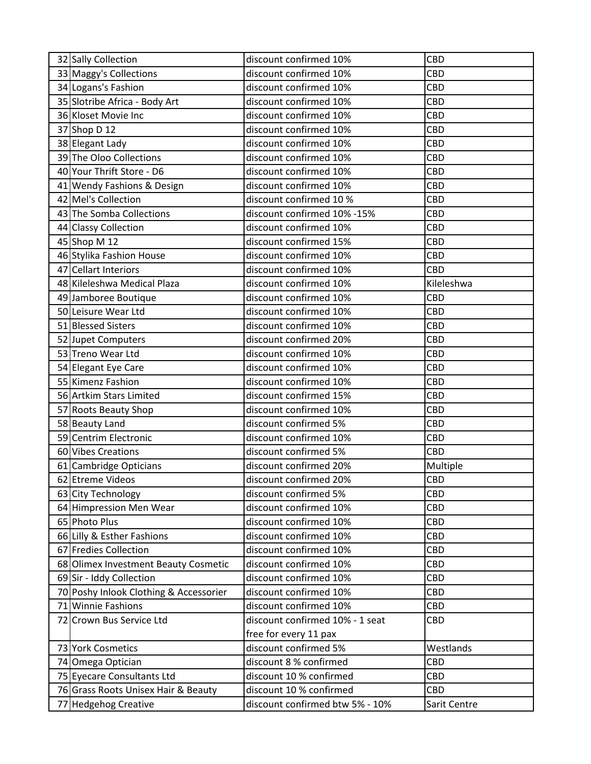| 32 Sally Collection                    | discount confirmed 10%          | <b>CBD</b>   |
|----------------------------------------|---------------------------------|--------------|
| 33 Maggy's Collections                 | discount confirmed 10%          | CBD          |
| 34 Logans's Fashion                    | discount confirmed 10%          | CBD          |
| 35 Slotribe Africa - Body Art          | discount confirmed 10%          | <b>CBD</b>   |
| 36 Kloset Movie Inc                    | discount confirmed 10%          | CBD          |
| 37 Shop D 12                           | discount confirmed 10%          | CBD          |
| 38 Elegant Lady                        | discount confirmed 10%          | CBD          |
| 39 The Oloo Collections                | discount confirmed 10%          | CBD          |
| 40 Your Thrift Store - D6              | discount confirmed 10%          | CBD          |
| 41 Wendy Fashions & Design             | discount confirmed 10%          | CBD          |
| 42 Mel's Collection                    | discount confirmed 10 %         | CBD          |
| 43 The Somba Collections               | discount confirmed 10% -15%     | CBD          |
| 44 Classy Collection                   | discount confirmed 10%          | CBD          |
| 45 Shop M 12                           | discount confirmed 15%          | CBD          |
| 46 Stylika Fashion House               | discount confirmed 10%          | CBD          |
| 47 Cellart Interiors                   | discount confirmed 10%          | <b>CBD</b>   |
| 48 Kileleshwa Medical Plaza            | discount confirmed 10%          | Kileleshwa   |
| 49 Jamboree Boutique                   | discount confirmed 10%          | CBD          |
| 50 Leisure Wear Ltd                    | discount confirmed 10%          | CBD          |
| 51 Blessed Sisters                     | discount confirmed 10%          | CBD          |
| 52 Jupet Computers                     | discount confirmed 20%          | CBD          |
| 53 Treno Wear Ltd                      | discount confirmed 10%          | CBD          |
|                                        | discount confirmed 10%          |              |
| 54 Elegant Eye Care                    |                                 | CBD          |
| 55 Kimenz Fashion                      | discount confirmed 10%          | CBD          |
| 56 Artkim Stars Limited                | discount confirmed 15%          | CBD          |
| 57 Roots Beauty Shop                   | discount confirmed 10%          | CBD          |
| 58 Beauty Land                         | discount confirmed 5%           | CBD          |
| 59 Centrim Electronic                  | discount confirmed 10%          | CBD          |
| 60 Vibes Creations                     | discount confirmed 5%           | CBD          |
| 61 Cambridge Opticians                 | discount confirmed 20%          | Multiple     |
| 62 Etreme Videos                       | discount confirmed 20%          | <b>CBD</b>   |
| 63 City Technology                     | discount confirmed 5%           | CBD          |
| 64 Himpression Men Wear                | discount confirmed 10%          | CBD          |
| 65 Photo Plus                          | discount confirmed 10%          | CBD          |
| 66 Lilly & Esther Fashions             | discount confirmed 10%          | CBD          |
| 67 Fredies Collection                  | discount confirmed 10%          | CBD          |
| 68 Olimex Investment Beauty Cosmetic   | discount confirmed 10%          | CBD          |
| 69 Sir - Iddy Collection               | discount confirmed 10%          | CBD          |
| 70 Poshy Inlook Clothing & Accessorier | discount confirmed 10%          | CBD          |
| 71 Winnie Fashions                     | discount confirmed 10%          | CBD          |
| 72 Crown Bus Service Ltd               | discount confirmed 10% - 1 seat | CBD          |
|                                        | free for every 11 pax           |              |
| 73 York Cosmetics                      | discount confirmed 5%           | Westlands    |
| 74 Omega Optician                      | discount 8 % confirmed          | <b>CBD</b>   |
| 75 Eyecare Consultants Ltd             | discount 10 % confirmed         | CBD          |
| 76 Grass Roots Unisex Hair & Beauty    | discount 10 % confirmed         | CBD          |
| 77 Hedgehog Creative                   | discount confirmed btw 5% - 10% | Sarit Centre |
|                                        |                                 |              |